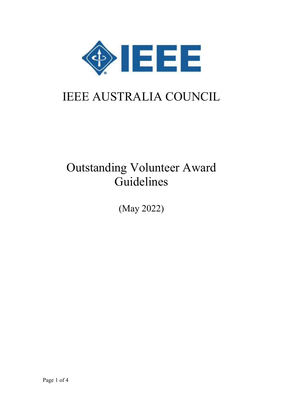

# IEEE AUSTRALIA COUNCIL

## Outstanding Volunteer Award Guidelines

(May 2022)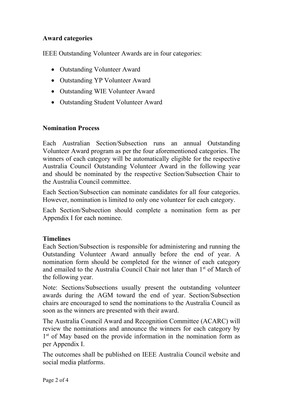#### Award categories

IEEE Outstanding Volunteer Awards are in four categories:

- Outstanding Volunteer Award
- Outstanding YP Volunteer Award
- Outstanding WIE Volunteer Award
- Outstanding Student Volunteer Award

#### Nomination Process

Each Australian Section/Subsection runs an annual Outstanding Volunteer Award program as per the four aforementioned categories. The winners of each category will be automatically eligible for the respective Australia Council Outstanding Volunteer Award in the following year and should be nominated by the respective Section/Subsection Chair to the Australia Council committee.

Each Section/Subsection can nominate candidates for all four categories. However, nomination is limited to only one volunteer for each category.

Each Section/Subsection should complete a nomination form as per Appendix I for each nominee.

#### **Timelines**

Each Section/Subsection is responsible for administering and running the Outstanding Volunteer Award annually before the end of year. A nomination form should be completed for the winner of each category and emailed to the Australia Council Chair not later than 1<sup>st</sup> of March of the following year.

Note: Sections/Subsections usually present the outstanding volunteer awards during the AGM toward the end of year. Section/Subsection chairs are encouraged to send the nominations to the Australia Council as soon as the winners are presented with their award.

The Australia Council Award and Recognition Committee (ACARC) will review the nominations and announce the winners for each category by 1<sup>st</sup> of May based on the provide information in the nomination form as per Appendix I.

The outcomes shall be published on IEEE Australia Council website and social media platforms.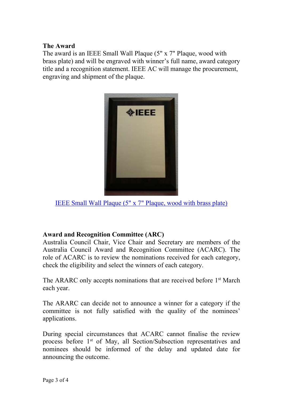#### The Award

The award is an IEEE Small Wall Plaque (5" x 7" Plaque, wood with brass plate) and will be engraved with winner's full name, award category title and a recognition statement. IEEE AC will manage the procurement, engraving and shipment of the plaque.



IEEE Small Wall Plaque (5" x 7" Plaque, wood with brass plate)

#### Award and Recognition Committee (ARC)

Australia Council Chair, Vice Chair and Secretary are members of the Australia Council Award and Recognition Committee (ACARC). The role of ACARC is to review the nominations received for each category, check the eligibility and select the winners of each category.

The ARARC only accepts nominations that are received before 1<sup>st</sup> March each year.

The ARARC can decide not to announce a winner for a category if the committee is not fully satisfied with the quality of the nominees' applications.

During special circumstances that ACARC cannot finalise the review process before 1st of May, all Section/Subsection representatives and nominees should be informed of the delay and updated date for announcing the outcome.